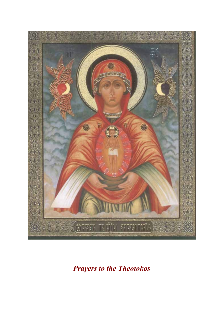

*Prayers to the Theotokos*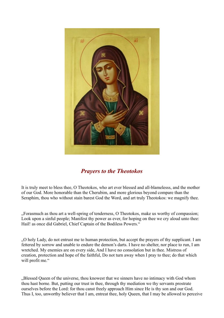

# *Prayers to the Theotokos*

It is truly meet to bless thee, O Theotokos, who art ever blessed and all-blamelesss, and the mother of our God. More honorable than the Cherubim, and more glorious beyond compare than the Seraphim, thou who without stain barest God the Word, and art truly Theotokos: we magnify thee.

"Forasmuch as thou art a well-spring of tenderness, O Theotokos, make us worthy of compassion; Look upon a sinful people; Manifest thy power as ever, for hoping on thee we cry aloud unto thee: Hail! as once did Gabriel, Chief Captain of the Bodiless Powers."

"O holy Lady, do not entrust me to human protection, but accept the prayers of thy supplicant. I am fettered by sorrow and unable to endure the demon's darts. I have no shelter, nor place to run, I am wretched. My enemies are on every side, And I have no consolation but in thee. Mistress of creation, protection and hope of the faithful, Do not turn away when I pray to thee; do that which will profit me."

"Blessed Queen of the universe, thou knowest that we sinners have no intimacy with God whom thou hast borne. But, putting our trust in thee, through thy mediation we thy servants prostrate ourselves before the Lord: for thou canst freely approach Him since He is thy son and our God. Thus I, too, unworthy believer that I am, entreat thee, holy Queen, that I may be allowed to perceive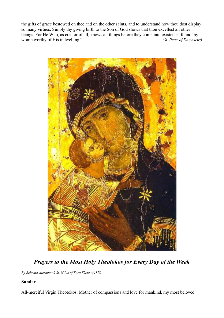the gifts of grace bestowed on thee and on the other saints, and to understand how thou dost display so many virtues. Simply thy giving birth to the Son of God shows that thou excellest all other beings. For He Who, as creator of all, knows all things before they come into existence, found thy womb worthy of His indwelling." *(St. Peter of Damascus)*



*Prayers to the Most Holy Theotokos for Every Day of the Week*

*By Schema-hieromonk St. Nilus of Sora Skete (†1870)*

## **Sunday**

All-merciful Virgin Theotokos, Mother of compassions and love for mankind, my most beloved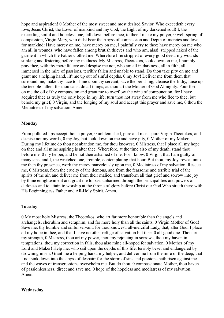hope and aspiration! 0 Mother of the most sweet and most desired Savior. Who exceedeth every love, Jesus Christ, the Lover of mankind and my God, the Light of my darkened soul! I, the exceeding sinful and hopeless one, fall down before thee, to thee I make my prayer, 0 well-spring of compassion, Virgin Mary, who didst bear the Abyss of compassion and Depth of mercies and love for mankind: Have mercy on me, have mercy on me, I painfully cry to thee; have mercy on me who am all in wounds, who have fallen among brutish thieves and who am, alas!, stripped naked of the garment in which the Father clothed me. Wherefore I lie stripped of every good deed, my wounds stinking and festering before my madness. My Mistress, Theotokos, look down on me, I humbly pray thee, with thy merciful eye and despise me not, who am all in darkness, all in filth, all immersed in the mire of passions, terribly fallen and unable to stand. Do thou take pity on me and grant me a helping hand, lift me up out of sinful depths, 0 my Joy! Deliver me from them that surround me; make thy face to shine upon thy servant; save the perishing, cleanse the filthy, raise up the terrible fallen: for thou canst do all things, as thou art the Mother of God Almighty. Pour forth on me the oil of thy compassion and grant me to overflow the wine of compunction, for I have acquired thee as truly the only hope in my life; turn thou not away from me who flee to thee, but behold my grief, 0 Virgin, and the longing of my soul and accept this prayer and save me, 0 thou the Mediatress of my salvation. Amen.

## **Monday**

From polluted lips accept thou a prayer, 0 unblemished, pure and most- pure Virgin Theotokos, and despise not my words, 0 my Joy, but look down on me and have pity, 0 Mother of my Maker. During my lifetime do thou not abandon me, for thou knowest, 0 Mistress, that I place all my hope on thee and all mine aspiring is alter thee. Wherefore, at the time also of my death, stand thou before me, 0 my helper, and be not then ashamed of me. For I know, 0 Virgin, that I am guilty of many sins, and I, the wretched one, tremble, contemplating that hour. But thou, my Joy, reveal unto me then thy presence, work thy mercy marvelously upon me, 0 Mediatress of my salvation. Rescue me, 0 Mistress, from the cruelty of the demons, and from the fearsome and terrible trial of the spirits of the air, and deliver me from their malice, and transform all that grief and sorrow into joy by thine enlightenment and grant me to pass unharmed through the principalities and powers of darkness and to attain to worship at the throne of glory before Christ our God Who sitteth there with His Beginningless Father and All-Holy Spirit. Amen.

#### **Tuesday**

0 My most holy Mistress, the Theotokos, who art far more honorable than the angels and archangels, cherubim and seraphim, and far more holy than all the saints, 0 Virgin Mother of God! Save me, thy humble and sinful servant, for thou knowest, all-merciful Lady, that, alter God, I place all my hope in thee, and that I have no other refuge of salvation but thee, 0 all-good one. Thou art my strength, 0 Mistress, thou art my power, thou my rejoicing in sorrows, thou my haven in temptations, thou my correction in falls, thou also mine all-hoped for salvation, 0 Mother of my Lord and Maker! Help me, who sail upon the depths of this life, terribly beset and endangered by drowning in sin. Grant me a helping hand, my helper, and deliver me from the mire of the deep, that I not sink down into the abyss of despair: for the storm of sins and passions hath risen against me and the waves of transgressions overwhelm me. But do thou, 0 compassionate Mother, thou haven of passionlessness, direct and save me, 0 hope of the hopeless and mediatress of my salvation. Amen.

#### **Wednesday**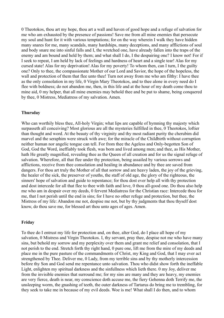0 Theotokos, thou art my hope, thou art a wall and haven of good hope and a refuge of salvation for me who am exhausted by the presence of passions! Save me from all mine enemies that persecute my soul and hunt for it with various temptations; for on the way wherein I walk they have hidden many snares for me, many scandals, many hardships, many deceptions, and many afflictions of soul and body snare me into sinful falls and I, the wretched one, have already fallen into the traps of the enemy and am bound and held by them; and what shall I do, I the despairing one? I know not! For if I seek to repeat, I am held by lack of feelings and hardness of heart and a single tear! Alas for my cursed state! Alas for my deprivation! Alas for my poverty! To whom then, can I turn, I the guilty one? Only to thee, the compassionate Mother of our Lord and Savior, the hope of the hopeless, the wall and protection of them that flee unto thee! Turn not away from me who am filthy: I have thee as the only consolation in my life, 0 Virgin Mary Theotokos, and to thee alone in every need do I flee with boldness; do not abandon me, then, in this life and at the hour of my death come thou to mine aid, 0 my helper, that all mine enemies may behold thee and be put to shame, being conquered by thee, 0 Mistress, Mediatress of my salvation. Amen.

### **Thursday**

Who can worthily bless thee, All-holy Virgin; what lips are capable of hymning thy majesty which surpasseth all conceiving? Most glorious are all the mysteries fulfilled in thee, 0 Theotokos, loftier than thought and word. At the beauty of thy virginity and thy most radiant purity the cherubim did marvel and the seraphim were struck with awe; for the miracle of the Childbirth without corruption neither human nor angelic tongue can tell. For from thee the Ageless and Only-begotten Son of God, God the Word, ineffiably took flesh, was born and lived among men; and thee, as His Mother, hath He greatly magnified, revealing thee as the Queen of all creation and for us the signal refuge of salvation. Wherefore, all that flee under thy protection, being assailed by various sorrows and afflictions, receive from thee consolation and healing in abundance and by thee are saved from dangers. For thou art truly the Mother of all that sorrow and are heavy laden, the joy of the grieving, the healer of the sick, the preserver of youths, the staff of old age, the glory of the righteous, the sinners' hope of salvation and guide to repentance; for thou dost ever help all with thy protection and dost intercede for all that flee to thee with faith and love, 0 thou all-good one. Do thou also help me who am in despair over my deeds, 0 fervent Mediatress for the Christian race: Intercede thou for me, that I not perish until the end in sins; for I have no other refuge and protection, but thee, the Mistress of my life: Abandon me not, despise me not, but by thy judgments that thou thyself dost know, do thou save me, for blessed art thou unto ages of ages. Amen.

#### **Friday**

To thee do I entrust my life for protection and, on thee, alter God, do I place all hope of my salvation, 0 Mistress and Virgin Theotokos. I, thy servant, pray thee, despise not me who have many sins, but behold my sorrow and my perplexity over them and grant me relief and consolation, that I not perish to the end. Stretch forth thy right hand, 0 pure one, lift me from the mire of my deeds and place me in the pure pasture of the commandments of Christ, my King and God, that I may ever act strengthened by Thee. Deliver me, 0 Lady, from my terrible sins and by thy motherly intercession before thy Son and God send me repentance unto salvation. Thou who didst show forth the ineffable Light, enlighten my spiritual darkness and the sinfullness which lieth there. 0 my Joy, deliver me from the invisible enemies that surround me; for my sins are many and they are heavy, my enemies are very fierce, death is near, my conscience doth accuse me, the fiery Gehenna doth Terrify me, the unsleeping worm, the gnashing of teeth, the outer darkness of Tartarus do bring me to trembling, for they seek to take me in because of my evil deeds. Woe is me! What shall I do then, and to whom